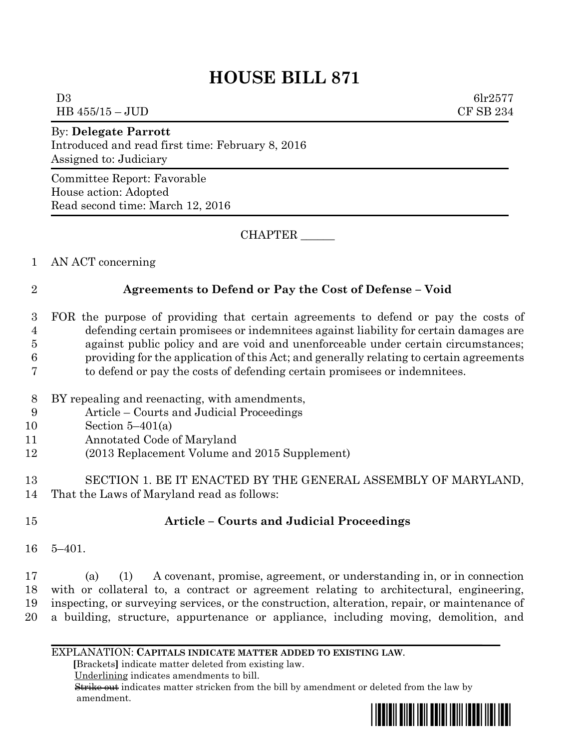# **HOUSE BILL 871**

D3 6lr2577 HB 455/15 – JUD CF SB 234

By: **Delegate Parrott** Introduced and read first time: February 8, 2016 Assigned to: Judiciary

Committee Report: Favorable House action: Adopted Read second time: March 12, 2016

CHAPTER \_\_\_\_\_\_

1 AN ACT concerning

## 2 **Agreements to Defend or Pay the Cost of Defense – Void**

- 3 FOR the purpose of providing that certain agreements to defend or pay the costs of 4 defending certain promisees or indemnitees against liability for certain damages are 5 against public policy and are void and unenforceable under certain circumstances; 6 providing for the application of this Act; and generally relating to certain agreements 7 to defend or pay the costs of defending certain promisees or indemnitees.
- 8 BY repealing and reenacting, with amendments,
- 9 Article Courts and Judicial Proceedings
- 10 Section 5–401(a)
- 11 Annotated Code of Maryland
- 12 (2013 Replacement Volume and 2015 Supplement)
- 13 SECTION 1. BE IT ENACTED BY THE GENERAL ASSEMBLY OF MARYLAND, 14 That the Laws of Maryland read as follows:
- 

## 15 **Article – Courts and Judicial Proceedings**

16 5–401.

 (a) (1) A covenant, promise, agreement, or understanding in, or in connection with or collateral to, a contract or agreement relating to architectural, engineering, inspecting, or surveying services, or the construction, alteration, repair, or maintenance of a building, structure, appurtenance or appliance, including moving, demolition, and

### EXPLANATION: **CAPITALS INDICATE MATTER ADDED TO EXISTING LAW**.

 **[**Brackets**]** indicate matter deleted from existing law.

Underlining indicates amendments to bill.

 Strike out indicates matter stricken from the bill by amendment or deleted from the law by amendment.